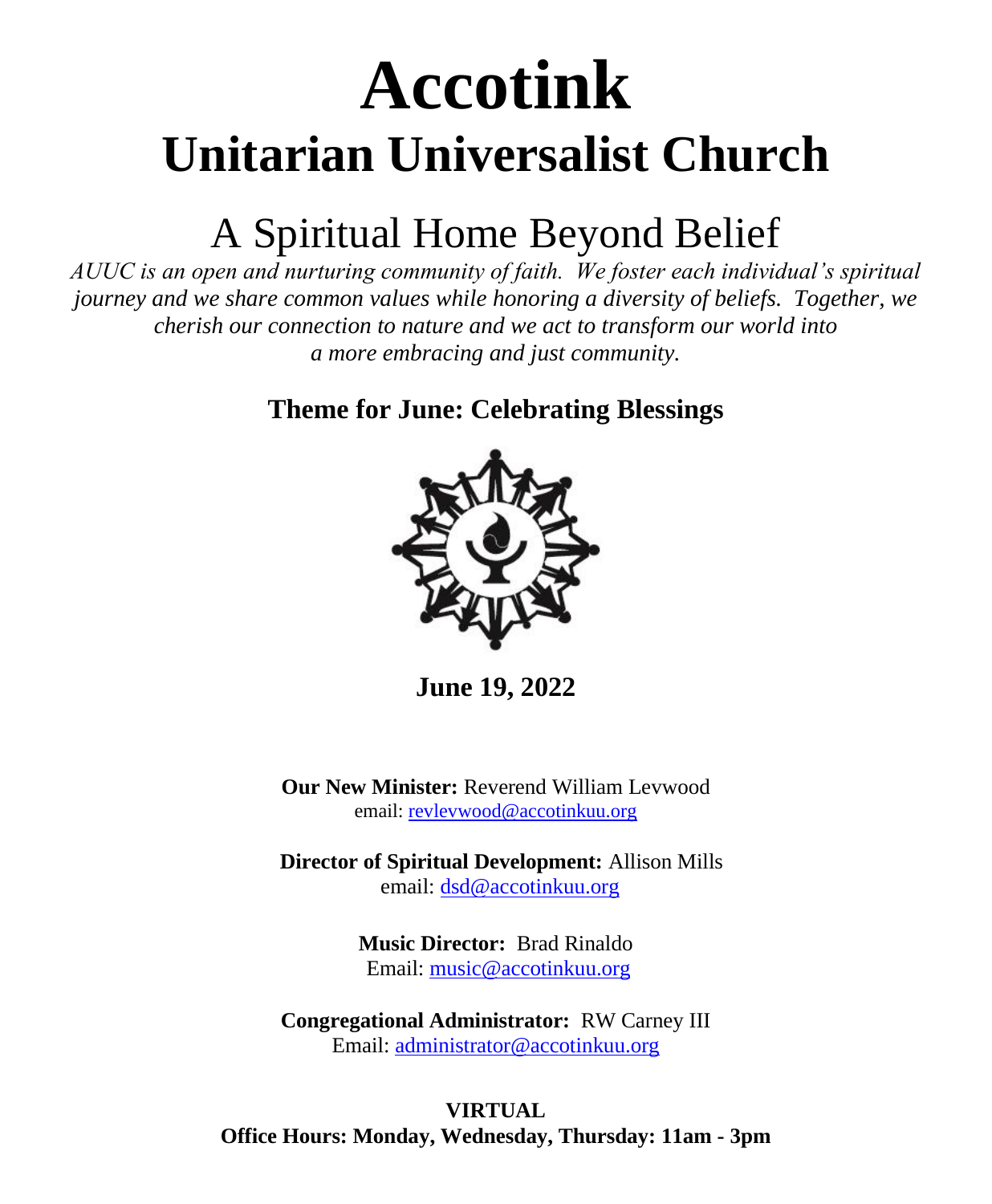# **Accotink Unitarian Universalist Church**

## A Spiritual Home Beyond Belief

*AUUC is an open and nurturing community of faith. We foster each individual's spiritual journey and we share common values while honoring a diversity of beliefs. Together, we cherish our connection to nature and we act to transform our world into a more embracing and just community.*

**Theme for June: Celebrating Blessings**



**June 19, 2022**

**Our New Minister:** Reverend William Levwood email[: revlevwood@accotinkuu.org](mailto:revlevwood@accotinkuu.org)

**Director of Spiritual Development:** Allison Mills email[: dsd@accotinkuu.org](mailto:dsd@accotinkuu.org)

> **Music Director:** Brad Rinaldo Email: [music@accotinkuu.org](mailto:music@accotinkuu.org)

**Congregational Administrator:** RW Carney III Email: [administrator@accotinkuu.org](mailto:administrator@accotinkuu.org)

**VIRTUAL Office Hours: Monday, Wednesday, Thursday: 11am - 3pm**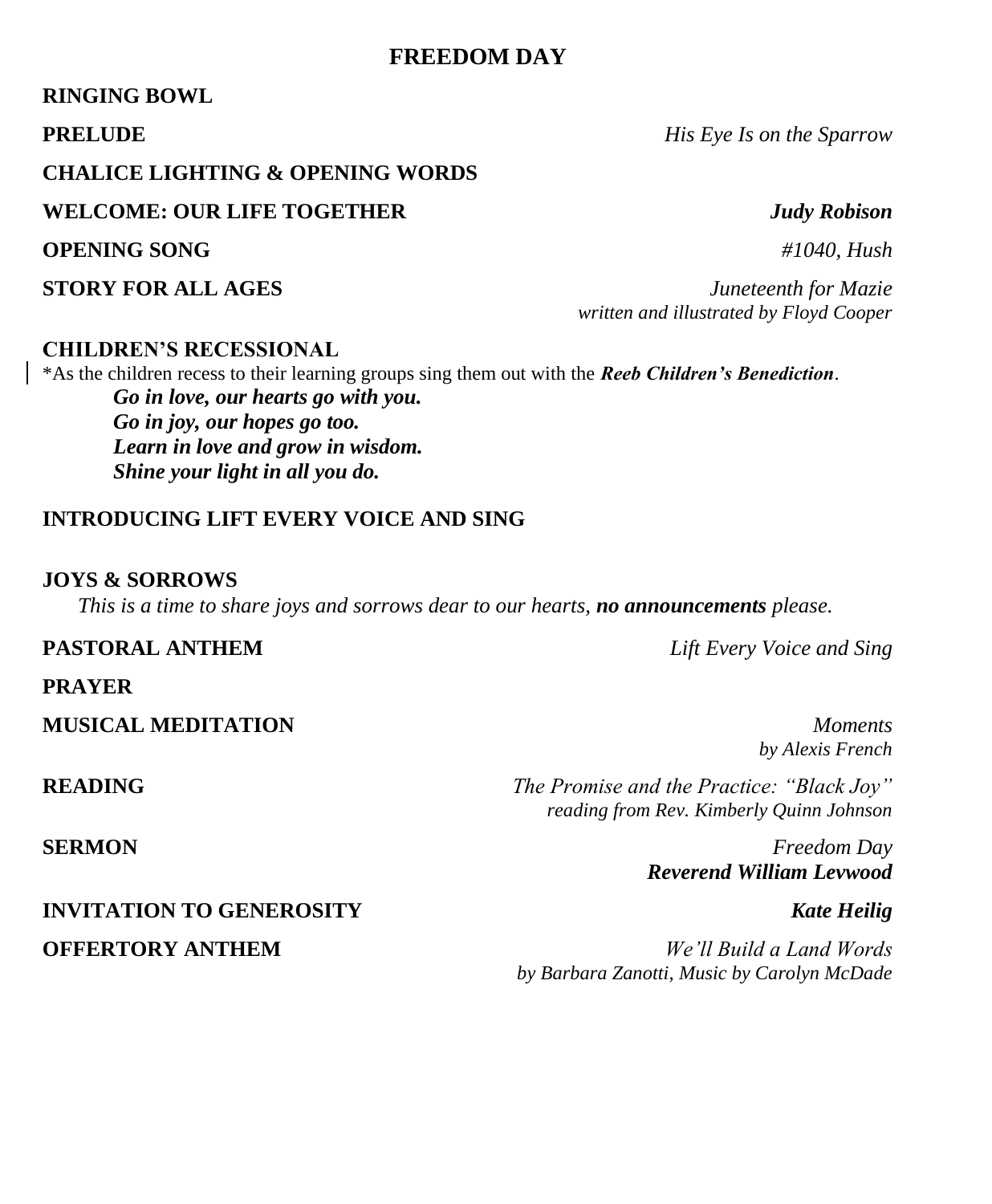### **FREEDOM DAY**

### **RINGING BOWL**

**PRELUDE** *His Eye Is on the Sparrow* 

### **CHALICE LIGHTING & OPENING WORDS**

**WELCOME: OUR LIFE TOGETHER** *Judy Robison*

**OPENING SONG** *#1040, Hush*

### **CHILDREN'S RECESSIONAL**

\*As the children recess to their learning groups sing them out with the *Reeb Children's Benediction*. *Go in love, our hearts go with you. Go in joy, our hopes go too. Learn in love and grow in wisdom. Shine your light in all you do.*

### **INTRODUCING LIFT EVERY VOICE AND SING**

### **JOYS & SORROWS**

*This is a time to share joys and sorrows dear to our hearts, no announcements please.*

#### **PASTORAL ANTHEM** *Lift Every Voice and Sing*

**PRAYER**

**MUSICAL MEDITATION** *Moments*

**READING** *The Promise and the Practice: "Black Joy" reading from Rev. Kimberly Quinn Johnson*

**SERMON** *Freedom Day Reverend William Levwood*

# **INVITATION TO GENEROSITY** *Kate Heilig*

**OFFERTORY ANTHEM** *We'll Build a Land Words by Barbara Zanotti, Music by Carolyn McDade*

**STORY FOR ALL AGES** *Juneteenth for Mazie written and illustrated by Floyd Cooper*

*by Alexis French*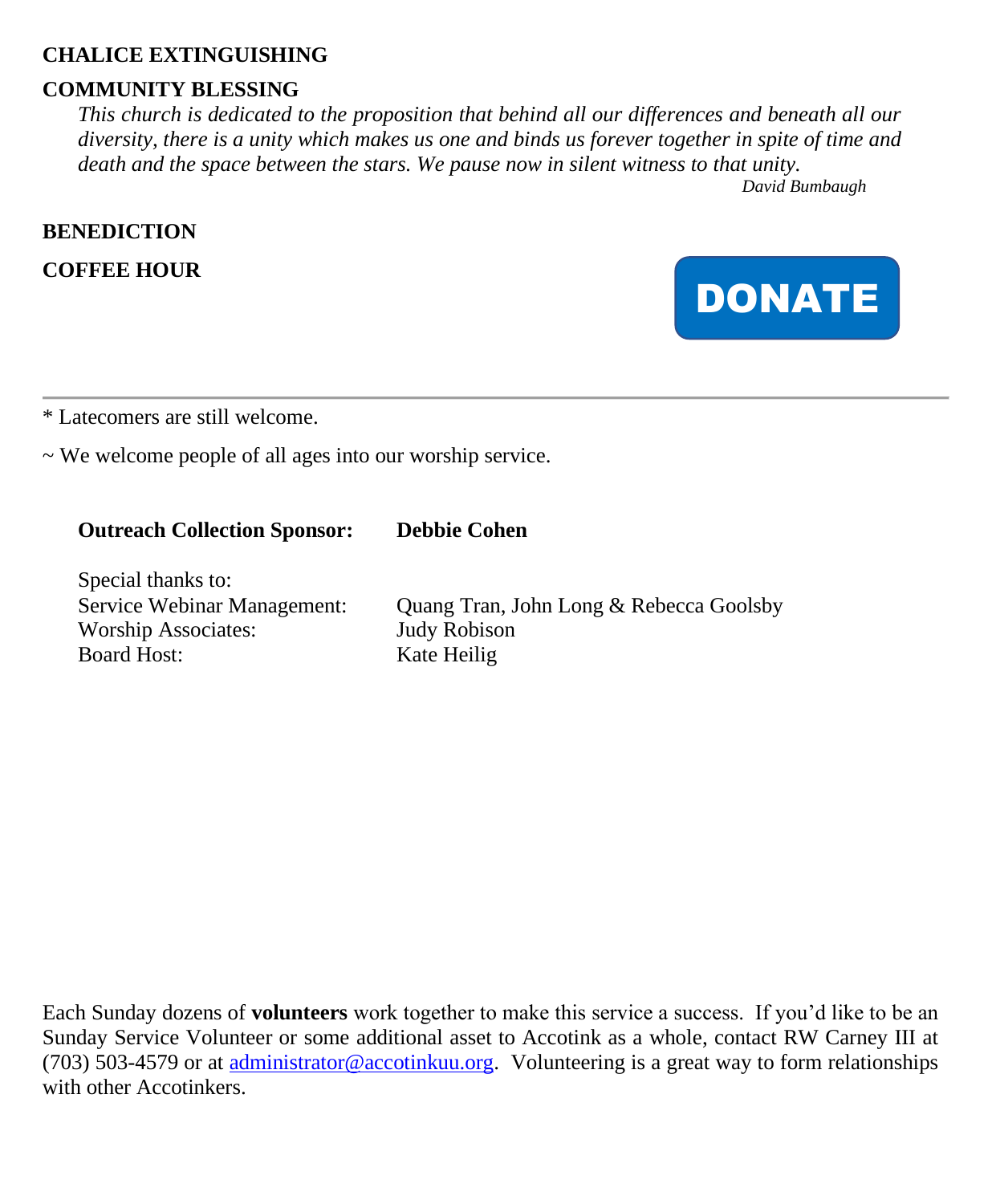### **CHALICE EXTINGUISHING**

### **COMMUNITY BLESSING**

*This church is dedicated to the proposition that behind all our differences and beneath all our diversity, there is a unity which makes us one and binds us forever together in spite of time and death and the space between the stars. We pause now in silent witness to that unity.*

*David Bumbaugh*

### **BENEDICTION**

**COFFEE HOUR**



\* Latecomers are still welcome.

 $\sim$  We welcome people of all ages into our worship service.

### **Outreach Collection Sponsor: Debbie Cohen**

Special thanks to: Worship Associates: Judy Robison Board Host: Kate Heilig

Service Webinar Management: Quang Tran, John Long & Rebecca Goolsby

Each Sunday dozens of **volunteers** work together to make this service a success. If you'd like to be an Sunday Service Volunteer or some additional asset to Accotink as a whole, contact RW Carney III at (703) 503-4579 or at [administrator@accotinkuu.org.](mailto:administrator@accotinkuu.org) Volunteering is a great way to form relationships with other Accotinkers.